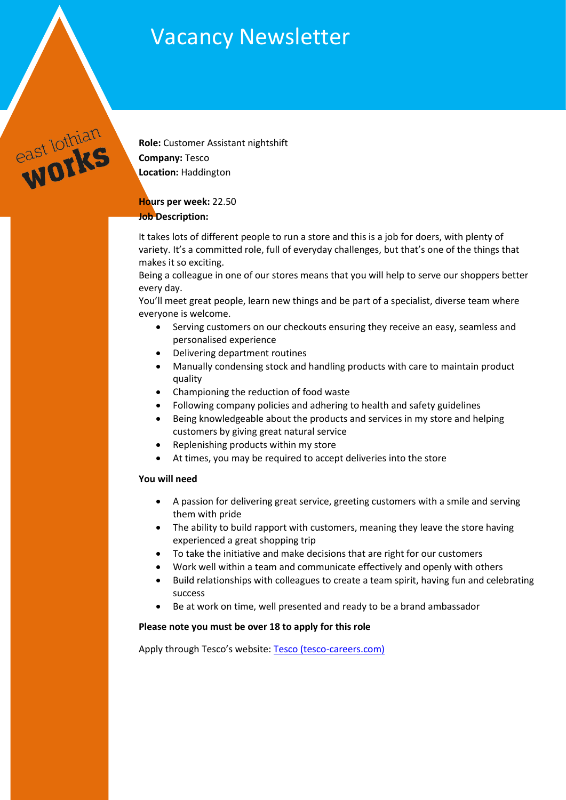# Vacancy Newsletter



**Role:** Customer Assistant nightshift **Company:** Tesco **Location:** Haddington

# **Hours per week:** 22.50

# **Job Description:**

It takes lots of different people to run a store and this is a job for doers, with plenty of variety. It's a committed role, full of everyday challenges, but that's one of the things that makes it so exciting.

Being a colleague in one of our stores means that you will help to serve our shoppers better every day.

You'll meet great people, learn new things and be part of a specialist, diverse team where everyone is welcome.

- Serving customers on our checkouts ensuring they receive an easy, seamless and personalised experience
- Delivering department routines
- Manually condensing stock and handling products with care to maintain product quality
- Championing the reduction of food waste
- Following company policies and adhering to health and safety guidelines
- Being knowledgeable about the products and services in my store and helping customers by giving great natural service
- Replenishing products within my store
- At times, you may be required to accept deliveries into the store

# **You will need**

- A passion for delivering great service, greeting customers with a smile and serving them with pride
- The ability to build rapport with customers, meaning they leave the store having experienced a great shopping trip
- To take the initiative and make decisions that are right for our customers
- Work well within a team and communicate effectively and openly with others
- Build relationships with colleagues to create a team spirit, having fun and celebrating success
- Be at work on time, well presented and ready to be a brand ambassador

# **Please note you must be over 18 to apply for this role**

Apply through Tesco's website: [Tesco \(tesco-careers.com\)](https://apply.tesco-careers.com/members/modules/job/detail.php?record=696227&utm_source=Indeed&utm_medium=organic&utm_campaign=Indeed)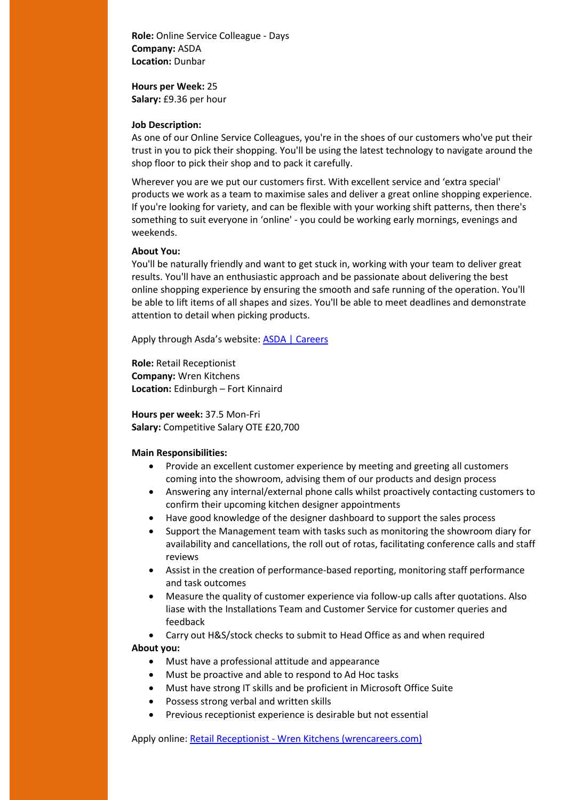**Role:** Online Service Colleague - Days **Company:** ASDA **Location:** Dunbar

**Hours per Week:** 25 **Salary:** £9.36 per hour

#### **Job Description:**

As one of our Online Service Colleagues, you're in the shoes of our customers who've put their trust in you to pick their shopping. You'll be using the latest technology to navigate around the shop floor to pick their shop and to pack it carefully.

Wherever you are we put our customers first. With excellent service and 'extra special' products we work as a team to maximise sales and deliver a great online shopping experience. If you're looking for variety, and can be flexible with your working shift patterns, then there's something to suit everyone in 'online' - you could be working early mornings, evenings and weekends.

#### **About You:**

You'll be naturally friendly and want to get stuck in, working with your team to deliver great results. You'll have an enthusiastic approach and be passionate about delivering the best online shopping experience by ensuring the smooth and safe running of the operation. You'll be able to lift items of all shapes and sizes. You'll be able to meet deadlines and demonstrate attention to detail when picking products.

Apply through Asda's website: [ASDA | Careers](https://www.asda.jobs/vacancy/online-service-colleague---days-36790-dunbar-east-lothian/36809/description/?_channelid=48)

**Role:** Retail Receptionist **Company:** Wren Kitchens **Location:** Edinburgh – Fort Kinnaird

**Hours per week:** 37.5 Mon-Fri **Salary:** Competitive Salary OTE £20,700

## **Main Responsibilities:**

- Provide an excellent customer experience by meeting and greeting all customers coming into the showroom, advising them of our products and design process
- Answering any internal/external phone calls whilst proactively contacting customers to confirm their upcoming kitchen designer appointments
- Have good knowledge of the designer dashboard to support the sales process
- Support the Management team with tasks such as monitoring the showroom diary for availability and cancellations, the roll out of rotas, facilitating conference calls and staff reviews
- Assist in the creation of performance-based reporting, monitoring staff performance and task outcomes
- Measure the quality of customer experience via follow-up calls after quotations. Also liase with the Installations Team and Customer Service for customer queries and feedback

Carry out H&S/stock checks to submit to Head Office as and when required

## **About you:**

- Must have a professional attitude and appearance
- Must be proactive and able to respond to Ad Hoc tasks
- Must have strong IT skills and be proficient in Microsoft Office Suite
- Possess strong verbal and written skills
- Previous receptionist experience is desirable but not essential

Apply online: Retail Receptionist - [Wren Kitchens \(wrencareers.com\)](https://vacancies.wrencareers.com/vacancies/11436/retail-receptionist.html)